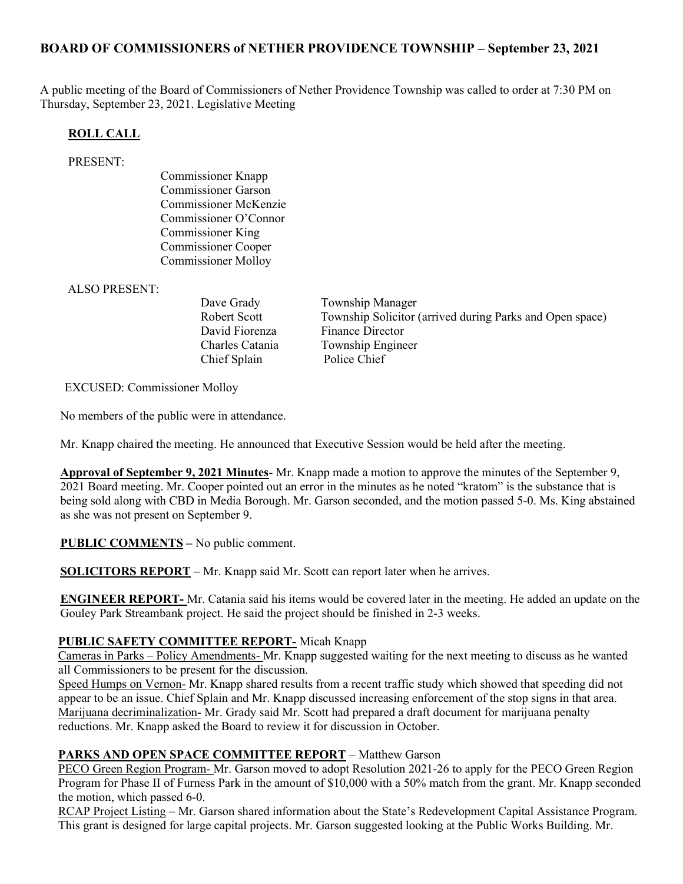## BOARD OF COMMISSIONERS of NETHER PROVIDENCE TOWNSHIP – September 23, 2021

A public meeting of the Board of Commissioners of Nether Providence Township was called to order at 7:30 PM on Thursday, September 23, 2021. Legislative Meeting

### ROLL CALL

#### PRESENT:

Commissioner Knapp Commissioner Garson Commissioner McKenzie Commissioner O'Connor Commissioner King Commissioner Cooper Commissioner Molloy

ALSO PRESENT:

Chief Splain Police Chief

Dave Grady Township Manager Robert Scott Township Solicitor (arrived during Parks and Open space) David Fiorenza Finance Director Charles Catania Township Engineer

EXCUSED: Commissioner Molloy

No members of the public were in attendance.

Mr. Knapp chaired the meeting. He announced that Executive Session would be held after the meeting.

Approval of September 9, 2021 Minutes- Mr. Knapp made a motion to approve the minutes of the September 9, 2021 Board meeting. Mr. Cooper pointed out an error in the minutes as he noted "kratom" is the substance that is being sold along with CBD in Media Borough. Mr. Garson seconded, and the motion passed 5-0. Ms. King abstained as she was not present on September 9.

PUBLIC COMMENTS – No public comment.

SOLICITORS REPORT – Mr. Knapp said Mr. Scott can report later when he arrives.

ENGINEER REPORT- Mr. Catania said his items would be covered later in the meeting. He added an update on the Gouley Park Streambank project. He said the project should be finished in 2-3 weeks.

### PUBLIC SAFETY COMMITTEE REPORT- Micah Knapp

Cameras in Parks – Policy Amendments- Mr. Knapp suggested waiting for the next meeting to discuss as he wanted all Commissioners to be present for the discussion.

Speed Humps on Vernon- Mr. Knapp shared results from a recent traffic study which showed that speeding did not appear to be an issue. Chief Splain and Mr. Knapp discussed increasing enforcement of the stop signs in that area. Marijuana decriminalization- Mr. Grady said Mr. Scott had prepared a draft document for marijuana penalty reductions. Mr. Knapp asked the Board to review it for discussion in October.

### PARKS AND OPEN SPACE COMMITTEE REPORT – Matthew Garson

PECO Green Region Program- Mr. Garson moved to adopt Resolution 2021-26 to apply for the PECO Green Region Program for Phase II of Furness Park in the amount of \$10,000 with a 50% match from the grant. Mr. Knapp seconded the motion, which passed 6-0.

RCAP Project Listing – Mr. Garson shared information about the State's Redevelopment Capital Assistance Program. This grant is designed for large capital projects. Mr. Garson suggested looking at the Public Works Building. Mr.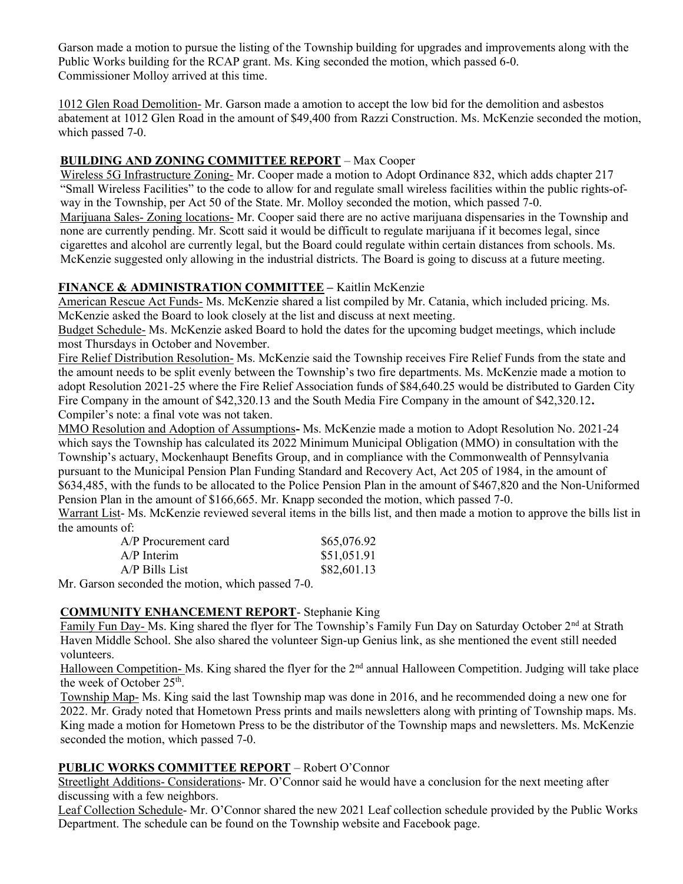Garson made a motion to pursue the listing of the Township building for upgrades and improvements along with the Public Works building for the RCAP grant. Ms. King seconded the motion, which passed 6-0. Commissioner Molloy arrived at this time.

1012 Glen Road Demolition- Mr. Garson made a amotion to accept the low bid for the demolition and asbestos abatement at 1012 Glen Road in the amount of \$49,400 from Razzi Construction. Ms. McKenzie seconded the motion, which passed 7-0.

# BUILDING AND ZONING COMMITTEE REPORT – Max Cooper

Wireless 5G Infrastructure Zoning- Mr. Cooper made a motion to Adopt Ordinance 832, which adds chapter 217 "Small Wireless Facilities" to the code to allow for and regulate small wireless facilities within the public rights-ofway in the Township, per Act 50 of the State. Mr. Molloy seconded the motion, which passed 7-0. Marijuana Sales- Zoning locations- Mr. Cooper said there are no active marijuana dispensaries in the Township and none are currently pending. Mr. Scott said it would be difficult to regulate marijuana if it becomes legal, since cigarettes and alcohol are currently legal, but the Board could regulate within certain distances from schools. Ms. McKenzie suggested only allowing in the industrial districts. The Board is going to discuss at a future meeting.

## FINANCE & ADMINISTRATION COMMITTEE - Kaitlin McKenzie

American Rescue Act Funds- Ms. McKenzie shared a list compiled by Mr. Catania, which included pricing. Ms. McKenzie asked the Board to look closely at the list and discuss at next meeting.

Budget Schedule- Ms. McKenzie asked Board to hold the dates for the upcoming budget meetings, which include most Thursdays in October and November.

Fire Relief Distribution Resolution- Ms. McKenzie said the Township receives Fire Relief Funds from the state and the amount needs to be split evenly between the Township's two fire departments. Ms. McKenzie made a motion to adopt Resolution 2021-25 where the Fire Relief Association funds of \$84,640.25 would be distributed to Garden City Fire Company in the amount of \$42,320.13 and the South Media Fire Company in the amount of \$42,320.12. Compiler's note: a final vote was not taken.

MMO Resolution and Adoption of Assumptions- Ms. McKenzie made a motion to Adopt Resolution No. 2021-24 which says the Township has calculated its 2022 Minimum Municipal Obligation (MMO) in consultation with the Township's actuary, Mockenhaupt Benefits Group, and in compliance with the Commonwealth of Pennsylvania pursuant to the Municipal Pension Plan Funding Standard and Recovery Act, Act 205 of 1984, in the amount of \$634,485, with the funds to be allocated to the Police Pension Plan in the amount of \$467,820 and the Non-Uniformed Pension Plan in the amount of \$166,665. Mr. Knapp seconded the motion, which passed 7-0.

Warrant List- Ms. McKenzie reviewed several items in the bills list, and then made a motion to approve the bills list in the amounts of:

| A/P Procurement card                                                             | \$65,076.92 |
|----------------------------------------------------------------------------------|-------------|
| $A/P$ Interim                                                                    | \$51,051.91 |
| $A/P$ Bills List                                                                 | \$82,601.13 |
| $\ldots$ 1.14. $\ldots$ . $\ldots$ . $\ldots$ . $\ldots$ . $\ldots$ 1.7 $\Omega$ |             |

Mr. Garson seconded the motion, which passed 7-0.

## COMMUNITY ENHANCEMENT REPORT- Stephanie King

Family Fun Day- Ms. King shared the flyer for The Township's Family Fun Day on Saturday October 2<sup>nd</sup> at Strath Haven Middle School. She also shared the volunteer Sign-up Genius link, as she mentioned the event still needed volunteers.

Halloween Competition- Ms. King shared the flyer for the 2<sup>nd</sup> annual Halloween Competition. Judging will take place the week of October 25<sup>th</sup>.

Township Map- Ms. King said the last Township map was done in 2016, and he recommended doing a new one for 2022. Mr. Grady noted that Hometown Press prints and mails newsletters along with printing of Township maps. Ms. King made a motion for Hometown Press to be the distributor of the Township maps and newsletters. Ms. McKenzie seconded the motion, which passed 7-0.

## PUBLIC WORKS COMMITTEE REPORT – Robert O'Connor

Streetlight Additions- Considerations- Mr. O'Connor said he would have a conclusion for the next meeting after discussing with a few neighbors.

Leaf Collection Schedule- Mr. O'Connor shared the new 2021 Leaf collection schedule provided by the Public Works Department. The schedule can be found on the Township website and Facebook page.